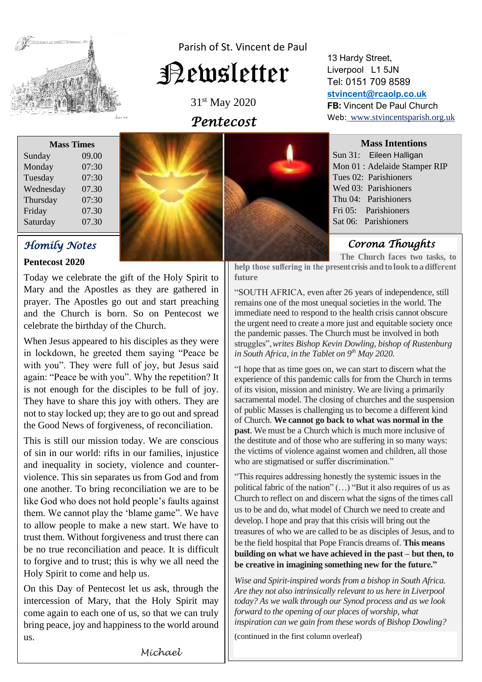

Parish of St. Vincent de Paul

# Newsletter

31st May 2020 *Pentecost* 

| <b>Mass Times</b> |       |
|-------------------|-------|
| Sunday            | 09.00 |
| Monday            | 07:30 |
| Tuesday           | 07:30 |
| Wednesday         | 07.30 |
| Thursday          | 07:30 |
| Friday            | 07.30 |
| Saturday          | 07.30 |

# *Homily Notes*

**Pentecost 2020**

Today we celebrate the gift of the Holy Spirit to Mary and the Apostles as they are gathered in prayer. The Apostles go out and start preaching and the Church is born. So on Pentecost we celebrate the birthday of the Church.

When Jesus appeared to his disciples as they were in lockdown, he greeted them saying "Peace be with you". They were full of joy, but Jesus said again: "Peace be with you". Why the repetition? It is not enough for the disciples to be full of joy. They have to share this joy with others. They are not to stay locked up; they are to go out and spread the Good News of forgiveness, of reconciliation.

This is still our mission today. We are conscious of sin in our world: rifts in our families, injustice and inequality in society, violence and counterviolence. This sin separates us from God and from one another. To bring reconciliation we are to be like God who does not hold people's faults against them. We cannot play the 'blame game". We have to allow people to make a new start. We have to trust them. Without forgiveness and trust there can be no true reconciliation and peace. It is difficult to forgive and to trust; this is why we all need the Holy Spirit to come and help us.

On this Day of Pentecost let us ask, through the intercession of Mary, that the Holy Spirit may come again to each one of us, so that we can truly bring peace, joy and happiness to the world around us.



13 Hardy Street, Liverpool L1 5JN Tel: 0151 709 8589 **[stvincent@rcaolp.co.uk](mailto:stvincent@rcaolp.co.uk) FB:** Vincent De Paul Church Web: www.stvincentsparish.org.uk

**Mass Intentions**

Sun 31: Eileen Halligan Mon 01 : Adelaide Stamper RIP Tues 02: Parishioners Wed 03: Parishioners Thu 04: Parishioners Fri 05: Parishioners Sat 06: Parishioners

 *Corona Thoughts* 

**The Church faces two tasks, to**

**help those suffering in the present crisis andtolooktoadifferent future**

"SOUTH AFRICA, even after 26 years of independence, still remains one of the most unequal societies in the world. The immediate need to respond to the health crisis cannot obscure the urgent need to create a more just and equitable society once the pandemic passes. The Church must be involved in both struggles",*writes Bishop Kevin Dowling, bishop of Rustenburg in South Africa, in the Tablet on 9th May 2020.*

"I hope that as time goes on, we can start to discern what the experience of this pandemic calls for from the Church in terms of its vision, mission and ministry. We are living a primarily sacramental model. The closing of churches and the suspension of public Masses is challenging us to become a different kind of Church. **We cannot go back to what was normal in the past**. We must be a Church which is much more inclusive of the destitute and of those who are suffering in so many ways: the victims of violence against women and children, all those who are stigmatised or suffer discrimination."

"This requires addressing honestly the systemic issues in the political fabric of the nation" (…) "But it also requires of us as Church to reflect on and discern what the signs of the times call us to be and do, what model of Church we need to create and develop. I hope and pray that this crisis will bring out the treasures of who we are called to be as disciples of Jesus, and to be the field hospital that Pope Francis dreams of. **This means building on what we have achieved in the past – but then, to be creative in imagining something new for the future."**

*Wise and Spirit-inspired words from a bishop in South Africa. Are they not also intrinsically relevant to us here in Liverpool today? As we walk through our Synod process and as we look forward to the opening of our places of worship, what inspiration can we gain from these words of Bishop Dowling?*

(continued in the first column overleaf)

*Michael*